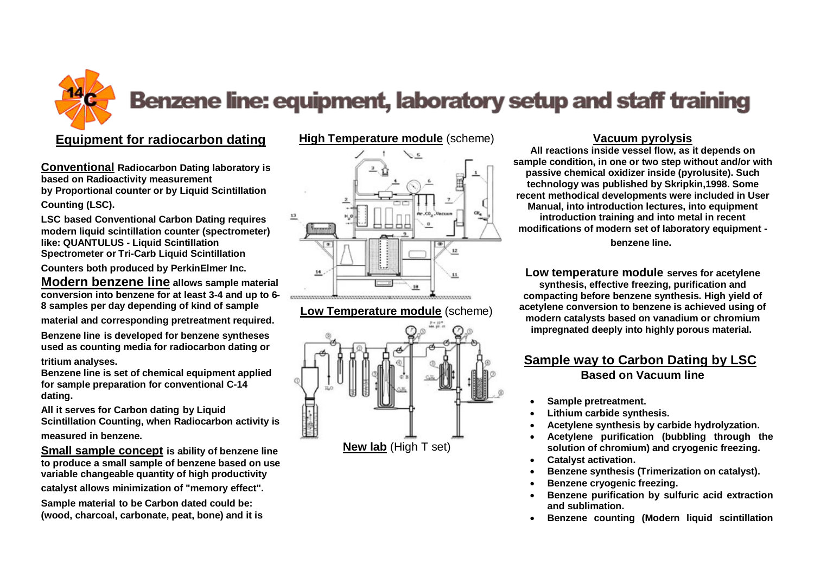# Benzene line: equipment, laboratory setup and staff training

## **Equipment for radiocarbon dating**

**Conventional Radiocarbon Dating laboratory is based on Radioactivity measurement by Proportional counter or by Liquid Scintillation Counting (LSC).**

**LSC based Conventional Carbon Dating requires modern liquid scintillation counter (spectrometer) like: QUANTULUS - Liquid Scintillation Spectrometer or Tri-Carb Liquid Scintillation** 

**Counters both produced by PerkinElmer Inc.**

**Modern benzene line allows sample material conversion into benzene for at least 3-4 and up to 6- 8 samples per day depending of kind of sample** 

**material and corresponding pretreatment required.**

**Benzene line is developed for benzene syntheses used as counting media for radiocarbon dating or**

**tritium analyses.**

**Benzene line is set of chemical equipment applied for sample preparation for conventional C-14 dating.**

**All it serves for Carbon dating by Liquid Scintillation Counting, when Radiocarbon activity is measured in benzene.**

**Small sample concept is ability of benzene line to produce a small sample of benzene based on use variable changeable quantity of high productivity catalyst allows minimization of "memory effect".**

**Sample material to be Carbon dated could be: (wood, charcoal, carbonate, peat, bone) and it is** 

### **[High Temperature module](http://benzene-line.com/images/chem2.jpg)** (scheme)



#### **[Low Temperature module](http://benzene-line.com/images/chem4.jpg)** (scheme)



## **Vacuum pyrolysis**

**All reactions inside vessel flow, as it depends on sample condition, in one or two step without and/or with passive chemical oxidizer inside (pyrolusite). Such technology was published by Skripkin,1998. Some recent methodical developments were included in User Manual, into introduction lectures, into equipment introduction training and into metal in recent modifications of modern set of laboratory equipment benzene line.**

**Low temperature module serves for acetylene synthesis, effective freezing, purification and compacting before benzene synthesis. High yield of acetylene conversion to benzene is achieved using of modern catalysts based on vanadium or chromium impregnated deeply into highly porous material.**

## **Sample way to Carbon Dating by LSC Based on Vacuum line**

- **Sample pretreatment.**
- **Lithium carbide synthesis.**
- **Acetylene synthesis by carbide hydrolyzation.**
- **Acetylene purification (bubbling through the solution of chromium) and cryogenic freezing.**
- **Catalyst activation.**
- **Benzene synthesis (Trimerization on catalyst).**
- **Benzene cryogenic freezing.**
- **Benzene purification by sulfuric acid extraction and sublimation.**
- **Benzene counting (Modern liquid scintillation**